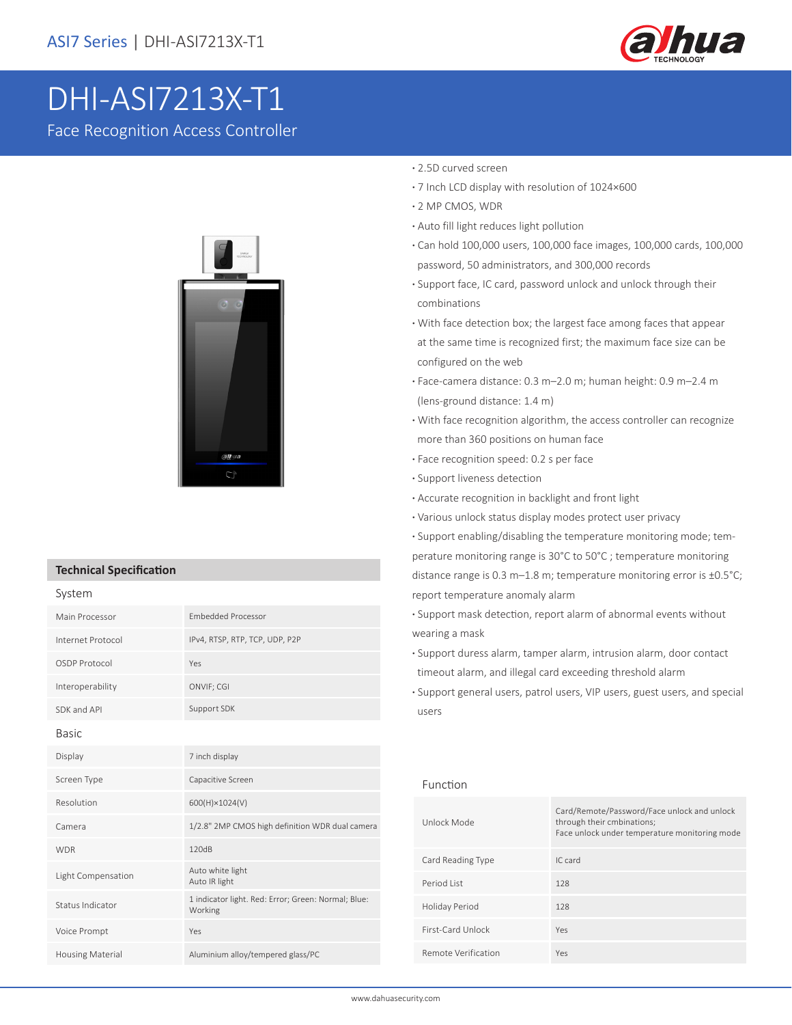

# DHI-ASI7213X-T1

Face Recognition Access Controller



#### **Technical Specification**

| System                  |                                                                |  |
|-------------------------|----------------------------------------------------------------|--|
| Main Processor          | <b>Embedded Processor</b>                                      |  |
| Internet Protocol       | IPv4, RTSP, RTP, TCP, UDP, P2P                                 |  |
| OSDP Protocol           | Yes                                                            |  |
| Interoperability        | ONVIF; CGI                                                     |  |
| SDK and API             | Support SDK                                                    |  |
| <b>Basic</b>            |                                                                |  |
| Display                 | 7 inch display                                                 |  |
| Screen Type             | Capacitive Screen                                              |  |
| Resolution              | 600(H)×1024(V)                                                 |  |
| Camera                  | 1/2.8" 2MP CMOS high definition WDR dual camera                |  |
| <b>WDR</b>              | 120dB                                                          |  |
| Light Compensation      | Auto white light<br>Auto IR light                              |  |
| Status Indicator        | 1 indicator light. Red: Error; Green: Normal; Blue:<br>Working |  |
| Voice Prompt            | Yes                                                            |  |
| <b>Housing Material</b> | Aluminium alloy/tempered glass/PC                              |  |

#### **·** 2.5D curved screen

- **·** 7 Inch LCD display with resolution of 1024×600
- **·** 2 MP CMOS, WDR
- **·** Auto fill light reduces light pollution
- **·** Can hold 100,000 users, 100,000 face images, 100,000 cards, 100,000 password, 50 administrators, and 300,000 records
- **·** Support face, IC card, password unlock and unlock through their combinations
- **·** With face detection box; the largest face among faces that appear at the same time is recognized first; the maximum face size can be configured on the web
- **·** Face-camera distance: 0.3 m–2.0 m; human height: 0.9 m–2.4 m (lens-ground distance: 1.4 m)
- **·** With face recognition algorithm, the access controller can recognize more than 360 positions on human face
- **·** Face recognition speed: 0.2 s per face
- **·** Support liveness detection
- **·** Accurate recognition in backlight and front light
- **·** Various unlock status display modes protect user privacy

**·** Support enabling/disabling the temperature monitoring mode; temperature monitoring range is 30°C to 50°C ; temperature monitoring distance range is 0.3 m–1.8 m; temperature monitoring error is ±0.5°C; report temperature anomaly alarm

- **·** Support mask detection, report alarm of abnormal events without wearing a mask
- **·** Support duress alarm, tamper alarm, intrusion alarm, door contact timeout alarm, and illegal card exceeding threshold alarm
- **·** Support general users, patrol users, VIP users, guest users, and special users

#### Function

| Unlock Mode         | Card/Remote/Password/Face unlock and unlock<br>through their cmbinations;<br>Face unlock under temperature monitoring mode |
|---------------------|----------------------------------------------------------------------------------------------------------------------------|
| Card Reading Type   | IC card                                                                                                                    |
| Period List         | 128                                                                                                                        |
| Holiday Period      | 128                                                                                                                        |
| First-Card Unlock   | Yes                                                                                                                        |
| Remote Verification | Yes                                                                                                                        |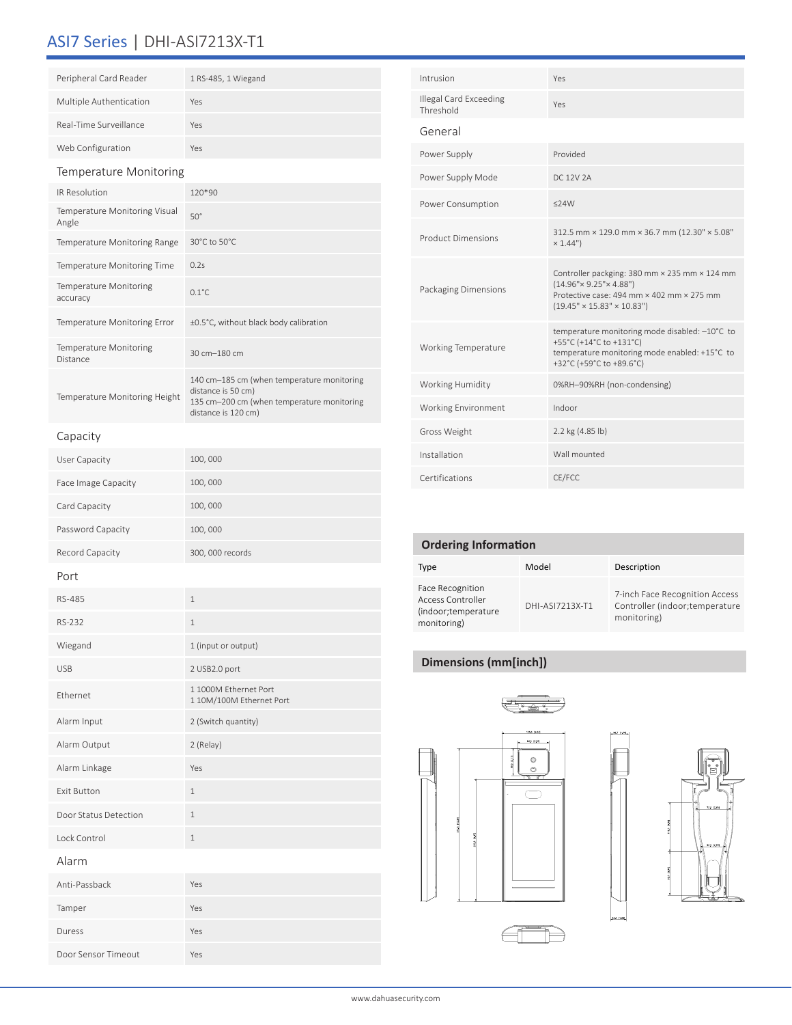## ASI7 Series | DHI-ASI7213X-T1

| Peripheral Card Reader                    | 1 RS-485, 1 Wiegand                                                                                                                   |  |
|-------------------------------------------|---------------------------------------------------------------------------------------------------------------------------------------|--|
| Multiple Authentication                   | Yes                                                                                                                                   |  |
| Real-Time Surveillance                    | Yes                                                                                                                                   |  |
| Web Configuration                         | Yes                                                                                                                                   |  |
| Temperature Monitoring                    |                                                                                                                                       |  |
| <b>IR Resolution</b>                      | 120*90                                                                                                                                |  |
| Temperature Monitoring Visual<br>Angle    | $50^\circ$                                                                                                                            |  |
| Temperature Monitoring Range              | 30°C to 50°C.                                                                                                                         |  |
| <b>Temperature Monitoring Time</b>        | 0.2s                                                                                                                                  |  |
| <b>Temperature Monitoring</b><br>accuracy | $0.1^{\circ}$ C                                                                                                                       |  |
| Temperature Monitoring Error              | ±0.5°C, without black body calibration                                                                                                |  |
| <b>Temperature Monitoring</b><br>Distance | 30 cm-180 cm                                                                                                                          |  |
| Temperature Monitoring Height             | 140 cm-185 cm (when temperature monitoring<br>distance is 50 cm)<br>135 cm-200 cm (when temperature monitoring<br>distance is 120 cm) |  |

| Intrusion                           | Yes                                                                                                                                                                          |  |
|-------------------------------------|------------------------------------------------------------------------------------------------------------------------------------------------------------------------------|--|
| Illegal Card Exceeding<br>Threshold | Yes                                                                                                                                                                          |  |
| General                             |                                                                                                                                                                              |  |
| Power Supply                        | Provided                                                                                                                                                                     |  |
| Power Supply Mode                   | DC 12V 2A                                                                                                                                                                    |  |
| Power Consumption                   | $<$ 24W                                                                                                                                                                      |  |
| <b>Product Dimensions</b>           | 312.5 mm × 129.0 mm × 36.7 mm (12.30" × 5.08"<br>× 1.44")                                                                                                                    |  |
| Packaging Dimensions                | Controller packging: 380 mm × 235 mm × 124 mm<br>$(14.96" \times 9.25" \times 4.88")$<br>Protective case: 494 mm × 402 mm × 275 mm<br>$(19.45" \times 15.83" \times 10.83")$ |  |
| <b>Working Temperature</b>          | temperature monitoring mode disabled: -10°C to<br>+55°C (+14°C to +131°C)<br>temperature monitoring mode enabled: +15°C to<br>+32°C (+59°C to +89.6°C)                       |  |
| Working Humidity                    | 0%RH-90%RH (non-condensing)                                                                                                                                                  |  |
| Working Environment                 | Indoor                                                                                                                                                                       |  |
| Gross Weight                        | 2.2 kg (4.85 lb)                                                                                                                                                             |  |
| Installation                        | Wall mounted                                                                                                                                                                 |  |
| Certifications                      | CE/FCC                                                                                                                                                                       |  |

| User Capacity         | 100,000                                           |  |
|-----------------------|---------------------------------------------------|--|
| Face Image Capacity   | 100,000                                           |  |
| Card Capacity         | 100,000                                           |  |
| Password Capacity     | 100,000                                           |  |
| Record Capacity       | 300, 000 records                                  |  |
| Port                  |                                                   |  |
| RS-485                | $\mathbf{1}$                                      |  |
| RS-232                | $\mathbf{1}$                                      |  |
| Wiegand               | 1 (input or output)                               |  |
| <b>USB</b>            | 2 USB2.0 port                                     |  |
| Ethernet              | 1 1000M Ethernet Port<br>1 10M/100M Ethernet Port |  |
| Alarm Input           | 2 (Switch quantity)                               |  |
| Alarm Output          | 2 (Relay)                                         |  |
| Alarm Linkage         | Yes                                               |  |
| <b>Exit Button</b>    | $\mathbf 1$                                       |  |
| Door Status Detection | $\mathbf{1}$                                      |  |
| Lock Control          | $\mathbf{1}$                                      |  |
| Alarm                 |                                                   |  |
| Anti-Passback         | Yes                                               |  |
| Tamper                | Yes                                               |  |
| Duress                | Yes                                               |  |
| Door Sensor Timeout   | Yes                                               |  |
|                       |                                                   |  |

| <b>Ordering Information</b>                                                         |                 |                                                                                  |  |  |
|-------------------------------------------------------------------------------------|-----------------|----------------------------------------------------------------------------------|--|--|
| Type                                                                                | Model           | Description                                                                      |  |  |
| <b>Face Recognition</b><br>Access Controller<br>(indoor; temperature<br>monitoring) | DHI-ASI7213X-T1 | 7-inch Face Recognition Access<br>Controller (indoor; temperature<br>monitoring) |  |  |

### **Dimensions (mm[inch])**